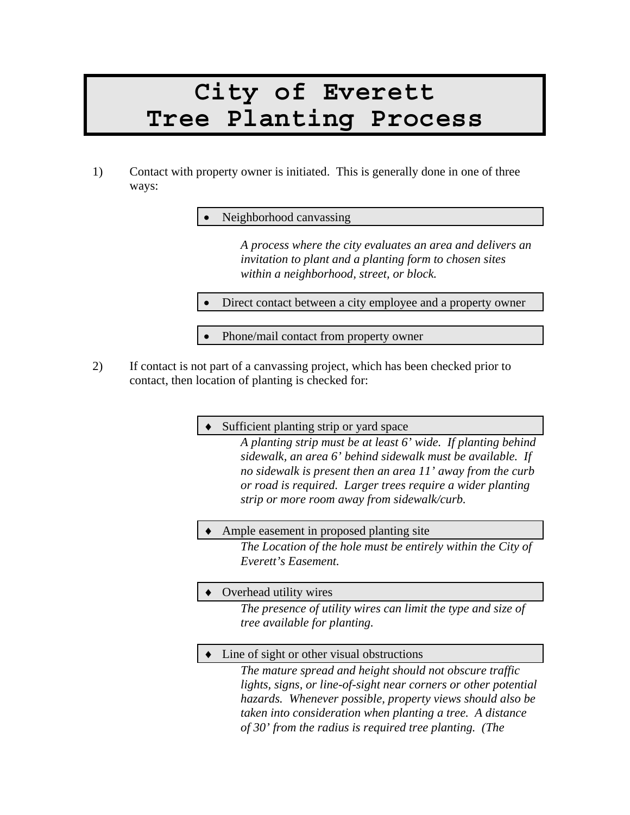# **City of Everett Tree Planting Process**

1) Contact with property owner is initiated. This is generally done in one of three ways:

Neighborhood canvassing

*A process where the city evaluates an area and delivers an invitation to plant and a planting form to chosen sites within a neighborhood, street, or block.* 

Direct contact between a city employee and a property owner

• Phone/mail contact from property owner

2) If contact is not part of a canvassing project, which has been checked prior to contact, then location of planting is checked for:

Sufficient planting strip or yard space

*A planting strip must be at least 6' wide. If planting behind sidewalk, an area 6' behind sidewalk must be available. If no sidewalk is present then an area 11' away from the curb or road is required. Larger trees require a wider planting strip or more room away from sidewalk/curb.* 

### Ample easement in proposed planting site

*The Location of the hole must be entirely within the City of Everett's Easement.* 

### Overhead utility wires

*The presence of utility wires can limit the type and size of tree available for planting.* 

### Line of sight or other visual obstructions

*The mature spread and height should not obscure traffic lights, signs, or line-of-sight near corners or other potential hazards. Whenever possible, property views should also be taken into consideration when planting a tree. A distance of 30' from the radius is required tree planting. (The*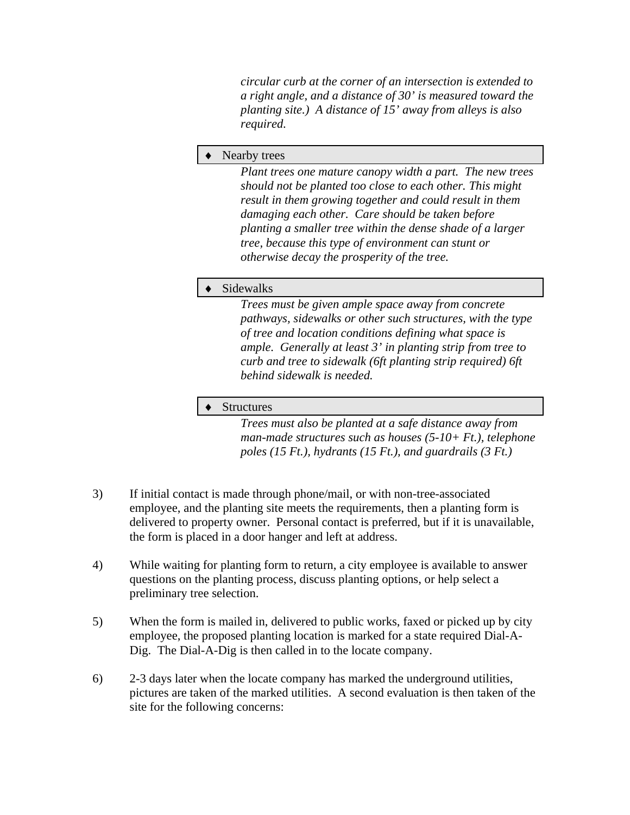*circular curb at the corner of an intersection is extended to a right angle, and a distance of 30' is measured toward the planting site.) A distance of 15' away from alleys is also required.* 

#### Nearby trees

*Plant trees one mature canopy width a part. The new trees should not be planted too close to each other. This might result in them growing together and could result in them damaging each other. Care should be taken before planting a smaller tree within the dense shade of a larger tree, because this type of environment can stunt or otherwise decay the prosperity of the tree.* 

#### ♦ Sidewalks

*Trees must be given ample space away from concrete pathways, sidewalks or other such structures, with the type of tree and location conditions defining what space is ample. Generally at least 3' in planting strip from tree to curb and tree to sidewalk (6ft planting strip required) 6ft behind sidewalk is needed.* 

#### ♦ Structures

*Trees must also be planted at a safe distance away from man-made structures such as houses (5-10+ Ft.), telephone poles (15 Ft.), hydrants (15 Ft.), and guardrails (3 Ft.)* 

- 3) If initial contact is made through phone/mail, or with non-tree-associated employee, and the planting site meets the requirements, then a planting form is delivered to property owner. Personal contact is preferred, but if it is unavailable, the form is placed in a door hanger and left at address.
- 4) While waiting for planting form to return, a city employee is available to answer questions on the planting process, discuss planting options, or help select a preliminary tree selection.
- 5) When the form is mailed in, delivered to public works, faxed or picked up by city employee, the proposed planting location is marked for a state required Dial-A-Dig. The Dial-A-Dig is then called in to the locate company.
- 6) 2-3 days later when the locate company has marked the underground utilities, pictures are taken of the marked utilities. A second evaluation is then taken of the site for the following concerns: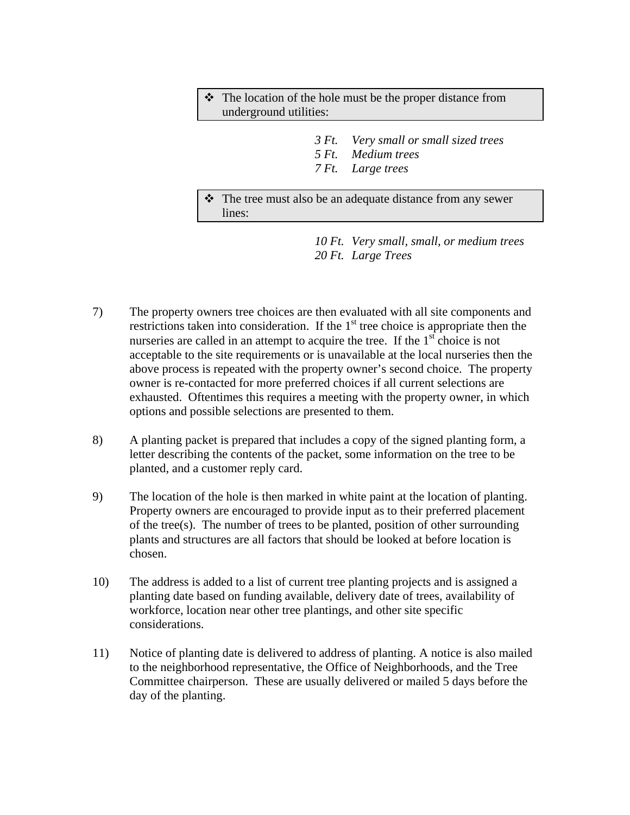- $\cdot \cdot$  The location of the hole must be the proper distance from underground utilities:
	- *3 Ft. Very small or small sized trees*
	- *5 Ft. Medium trees*
	- *7 Ft. Large trees*

 The tree must also be an adequate distance from any sewer lines:

> *10 Ft. Very small, small, or medium trees 20 Ft. Large Trees*

- 7) The property owners tree choices are then evaluated with all site components and restrictions taken into consideration. If the  $1<sup>st</sup>$  tree choice is appropriate then the nurseries are called in an attempt to acquire the tree. If the  $1<sup>st</sup>$  choice is not acceptable to the site requirements or is unavailable at the local nurseries then the above process is repeated with the property owner's second choice. The property owner is re-contacted for more preferred choices if all current selections are exhausted. Oftentimes this requires a meeting with the property owner, in which options and possible selections are presented to them.
- 8) A planting packet is prepared that includes a copy of the signed planting form, a letter describing the contents of the packet, some information on the tree to be planted, and a customer reply card.
- 9) The location of the hole is then marked in white paint at the location of planting. Property owners are encouraged to provide input as to their preferred placement of the tree(s). The number of trees to be planted, position of other surrounding plants and structures are all factors that should be looked at before location is chosen.
- 10) The address is added to a list of current tree planting projects and is assigned a planting date based on funding available, delivery date of trees, availability of workforce, location near other tree plantings, and other site specific considerations.
- 11) Notice of planting date is delivered to address of planting. A notice is also mailed to the neighborhood representative, the Office of Neighborhoods, and the Tree Committee chairperson. These are usually delivered or mailed 5 days before the day of the planting.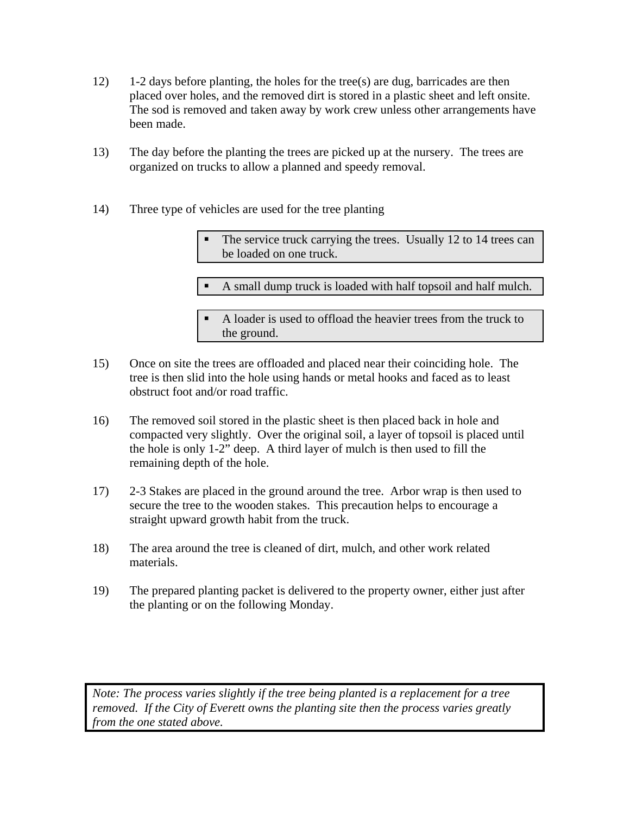- 12) 1-2 days before planting, the holes for the tree(s) are dug, barricades are then placed over holes, and the removed dirt is stored in a plastic sheet and left onsite. The sod is removed and taken away by work crew unless other arrangements have been made.
- 13) The day before the planting the trees are picked up at the nursery. The trees are organized on trucks to allow a planned and speedy removal.
- 14) Three type of vehicles are used for the tree planting

 The service truck carrying the trees. Usually 12 to 14 trees can be loaded on one truck.

A small dump truck is loaded with half topsoil and half mulch.

 A loader is used to offload the heavier trees from the truck to the ground.

- 15) Once on site the trees are offloaded and placed near their coinciding hole. The tree is then slid into the hole using hands or metal hooks and faced as to least obstruct foot and/or road traffic.
- 16) The removed soil stored in the plastic sheet is then placed back in hole and compacted very slightly. Over the original soil, a layer of topsoil is placed until the hole is only 1-2" deep. A third layer of mulch is then used to fill the remaining depth of the hole.
- 17) 2-3 Stakes are placed in the ground around the tree. Arbor wrap is then used to secure the tree to the wooden stakes. This precaution helps to encourage a straight upward growth habit from the truck.
- 18) The area around the tree is cleaned of dirt, mulch, and other work related materials.
- 19) The prepared planting packet is delivered to the property owner, either just after the planting or on the following Monday.

*Note: The process varies slightly if the tree being planted is a replacement for a tree removed. If the City of Everett owns the planting site then the process varies greatly from the one stated above.*